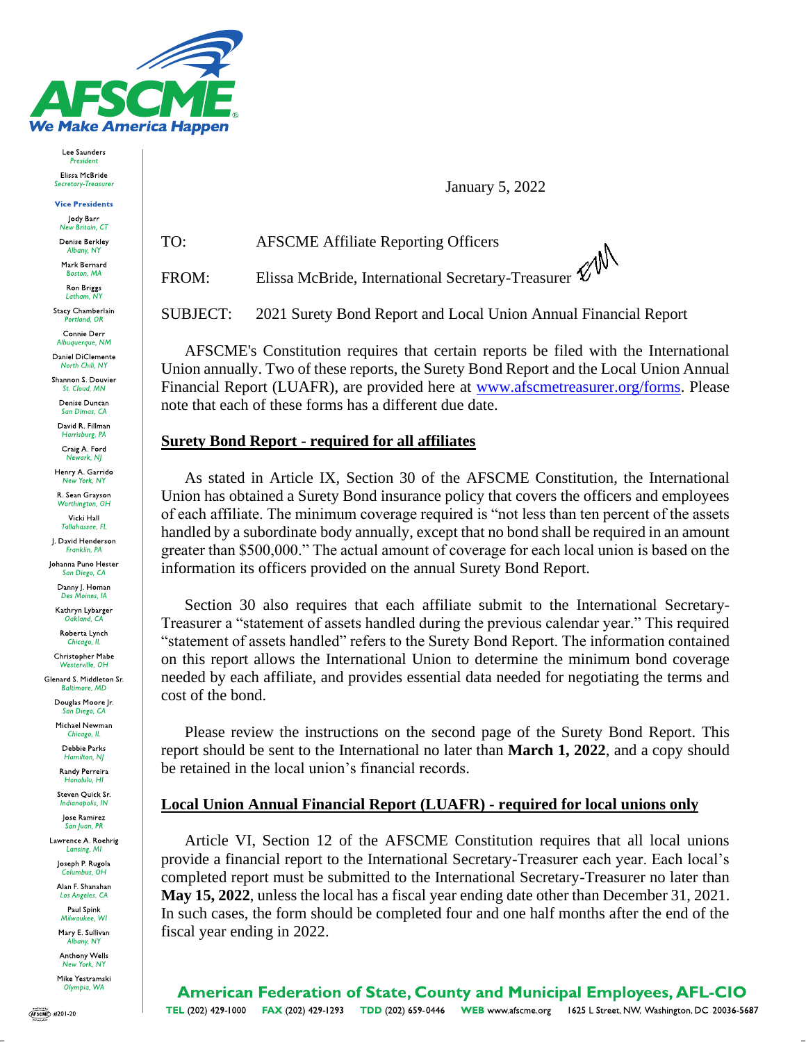

TO:

Lee Saunders President Elissa McBride Secretary-Treasurer

**Vice Presidents** 

Jody Barr New Britain, CT

Denise Berkley Albany, N)

Mark Bernard Boston, MA

Ron Briggs Latham, N)

Stacy Chamberlain

Connie Derr Albuquerque, NM

Daniel DiClemente North Chili, NY

Shannon S. Douvier

Denise Duncan San Dimas, CA David R. Fillman

Harrisburg, PA Craig A. Ford

Henry A. Garrido New York, NY

R. Sean Grayson Worthington, OH

Vicki Hall **Tallahassee**, FL

J. David Henderson Franklin, PA

Johanna Puno Hester San Diego, CA

Danny J. Homan

Kathryn Lybarger Oakland, CA

Roberta Lynch Chicago, Il

Christopher Mabe Westerville OH

Glenard S. Middleton Sr. **Baltimore, MD** 

Douglas Moore Jr. San Diego, CA

Michael Newman Chicago, IL

Debbie Parks Hamilton, NJ Randy Perreira

Honolulu HI Steven Quick Sr.

nabolis. IN lose Ramirez

San Juan, PR Lawrence A. Roehrig

Lansing, MI

Joseph P. Rugola ıus, C

Alan F. Shanahan Los Angeles, CA

Paul Spink Milwaukee, WI

Mary E. Sullivan

oany, NY Anthony Wells

New York, NY Mike Yestramski

Olympia, WA

**January 5, 2022** 

**AFSCME Affiliate Reporting Officers** 

Elissa McBride, International Secretary-Treasurer FROM:

**SUBJECT:** 2021 Surety Bond Report and Local Union Annual Financial Report

AFSCME's Constitution requires that certain reports be filed with the International Union annually. Two of these reports, the Surety Bond Report and the Local Union Annual Financial Report (LUAFR), are provided here at www.afscmetreasurer.org/forms. Please note that each of these forms has a different due date.

## **Surety Bond Report - required for all affiliates**

As stated in Article IX, Section 30 of the AFSCME Constitution, the International Union has obtained a Surety Bond insurance policy that covers the officers and employees of each affiliate. The minimum coverage required is "not less than ten percent of the assets handled by a subordinate body annually, except that no bond shall be required in an amount greater than \$500,000." The actual amount of coverage for each local union is based on the information its officers provided on the annual Surety Bond Report.

Section 30 also requires that each affiliate submit to the International Secretary-Treasurer a "statement of assets handled during the previous calendar year." This required "statement of assets handled" refers to the Surety Bond Report. The information contained on this report allows the International Union to determine the minimum bond coverage needed by each affiliate, and provides essential data needed for negotiating the terms and cost of the bond.

Please review the instructions on the second page of the Surety Bond Report. This report should be sent to the International no later than **March 1, 2022**, and a copy should be retained in the local union's financial records.

## **Local Union Annual Financial Report (LUAFR) - required for local unions only**

Article VI, Section 12 of the AFSCME Constitution requires that all local unions provide a financial report to the International Secretary-Treasurer each year. Each local's completed report must be submitted to the International Secretary-Treasurer no later than **May 15, 2022**, unless the local has a fiscal year ending date other than December 31, 2021. In such cases, the form should be completed four and one half months after the end of the fiscal year ending in 2022.